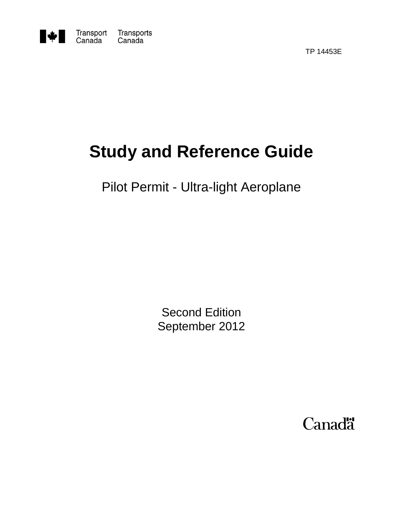

Transport<br>Canada Transports<br>Canada

TP 14453E

# **Study and Reference Guide**

## Pilot Permit - Ultra-light Aeroplane

Second Edition September 2012

Canadä<sup>\*</sup>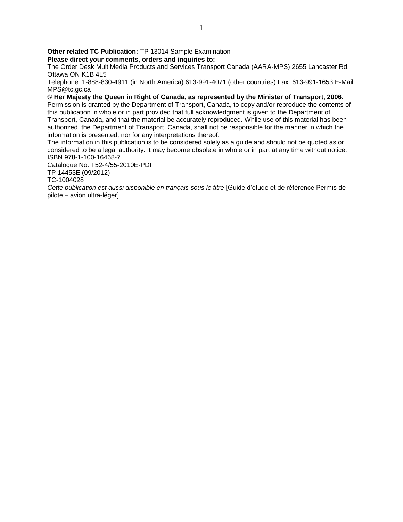**Other related TC Publication:** TP 13014 Sample Examination

**Please direct your comments, orders and inquiries to:** 

The Order Desk MultiMedia Products and Services Transport Canada (AARA-MPS) 2655 Lancaster Rd. Ottawa ON K1B 4L5

Telephone: 1-888-830-4911 (in North America) 613-991-4071 (other countries) Fax: 613-991-1653 E-Mail: MPS@tc.gc.ca

**© Her Majesty the Queen in Right of Canada, as represented by the Minister of Transport, 2006.**  Permission is granted by the Department of Transport, Canada, to copy and/or reproduce the contents of this publication in whole or in part provided that full acknowledgment is given to the Department of Transport, Canada, and that the material be accurately reproduced. While use of this material has been authorized, the Department of Transport, Canada, shall not be responsible for the manner in which the information is presented, nor for any interpretations thereof.

The information in this publication is to be considered solely as a guide and should not be quoted as or considered to be a legal authority. It may become obsolete in whole or in part at any time without notice. ISBN 978-1-100-16468-7

Catalogue No. T52-4/55-2010E-PDF

TP 14453E (09/2012)

TC-1004028

*Cette publication est aussi disponible en français sous le titre* [Guide d'étude et de référence Permis de pilote – avion ultra-léger]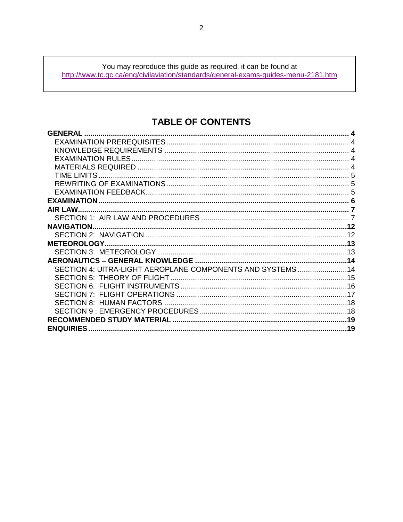You may reproduce this guide as required, it can be found at<br>http://www.tc.gc.ca/eng/civilaviation/standards/general-exams-guides-menu-2181.htm

## **TABLE OF CONTENTS**

| <b>GENERAL</b>                                               |  |
|--------------------------------------------------------------|--|
|                                                              |  |
|                                                              |  |
|                                                              |  |
|                                                              |  |
|                                                              |  |
|                                                              |  |
|                                                              |  |
|                                                              |  |
| <b>AIR LAW.</b>                                              |  |
|                                                              |  |
|                                                              |  |
|                                                              |  |
|                                                              |  |
|                                                              |  |
| AERONAUTICS – GENERAL KNOWLEDGE ……………………………………………………………………14 |  |
| SECTION 4: UITRA-LIGHT AEROPLANE COMPONENTS AND SYSTEMS14    |  |
|                                                              |  |
|                                                              |  |
|                                                              |  |
|                                                              |  |
|                                                              |  |
|                                                              |  |
|                                                              |  |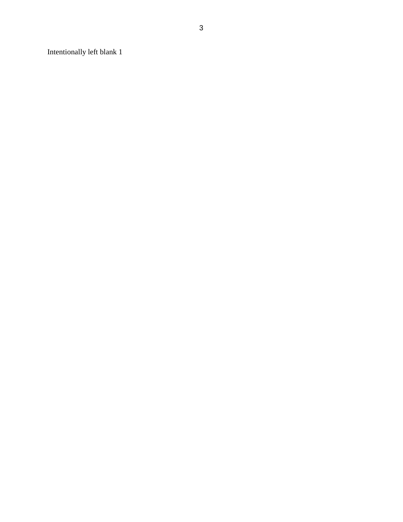Intentionally left blank 1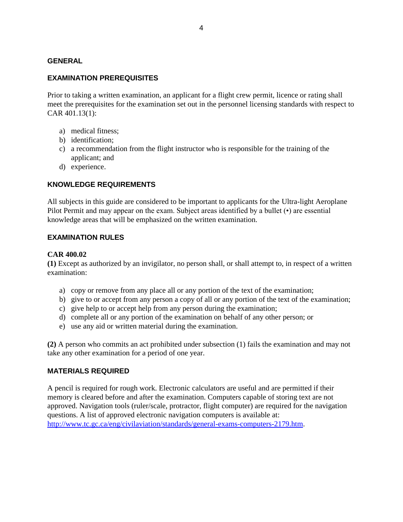#### <span id="page-4-0"></span>**GENERAL**

#### <span id="page-4-1"></span>**EXAMINATION PREREQUISITES**

Prior to taking a written examination, an applicant for a flight crew permit, licence or rating shall meet the prerequisites for the examination set out in the personnel licensing standards with respect to CAR 401.13(1):

- a) medical fitness;
- b) identification;
- c) a recommendation from the flight instructor who is responsible for the training of the applicant; and
- d) experience.

#### <span id="page-4-2"></span>**KNOWLEDGE REQUIREMENTS**

All subjects in this guide are considered to be important to applicants for the Ultra-light Aeroplane Pilot Permit and may appear on the exam. Subject areas identified by a bullet ( $\cdot$ ) are essential knowledge areas that will be emphasized on the written examination.

#### <span id="page-4-3"></span>**EXAMINATION RULES**

#### **CAR 400.02**

**(1)** Except as authorized by an invigilator, no person shall, or shall attempt to, in respect of a written examination:

- a) copy or remove from any place all or any portion of the text of the examination;
- b) give to or accept from any person a copy of all or any portion of the text of the examination;
- c) give help to or accept help from any person during the examination;
- d) complete all or any portion of the examination on behalf of any other person; or
- e) use any aid or written material during the examination.

**(2)** A person who commits an act prohibited under subsection (1) fails the examination and may not take any other examination for a period of one year.

#### <span id="page-4-4"></span>**MATERIALS REQUIRED**

A pencil is required for rough work. Electronic calculators are useful and are permitted if their memory is cleared before and after the examination. Computers capable of storing text are not approved. Navigation tools (ruler/scale, protractor, flight computer) are required for the navigation questions. A list of approved electronic navigation computers is available at: [http://www.tc.gc.ca/eng/civilaviation/standards/general-exams-computers-2179.htm.](http://www.tc.gc.ca/eng/civilaviation/standards/general-exams-computers-2179.htm)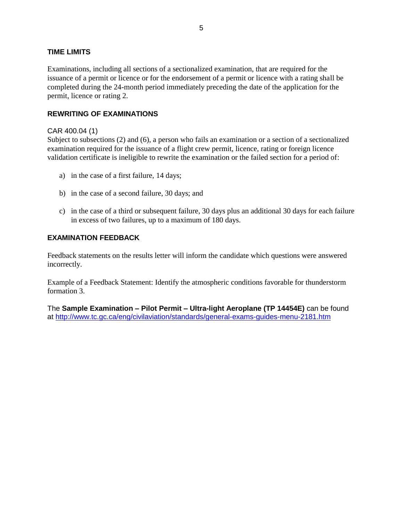#### <span id="page-5-0"></span>**TIME LIMITS**

Examinations, including all sections of a sectionalized examination, that are required for the issuance of a permit or licence or for the endorsement of a permit or licence with a rating shall be completed during the 24-month period immediately preceding the date of the application for the permit, licence or rating 2.

#### <span id="page-5-1"></span>**REWRITING OF EXAMINATIONS**

#### CAR 400.04 (1)

Subject to subsections (2) and (6), a person who fails an examination or a section of a sectionalized examination required for the issuance of a flight crew permit, licence, rating or foreign licence validation certificate is ineligible to rewrite the examination or the failed section for a period of:

- a) in the case of a first failure, 14 days;
- b) in the case of a second failure, 30 days; and
- c) in the case of a third or subsequent failure, 30 days plus an additional 30 days for each failure in excess of two failures, up to a maximum of 180 days.

#### <span id="page-5-2"></span>**EXAMINATION FEEDBACK**

Feedback statements on the results letter will inform the candidate which questions were answered incorrectly.

Example of a Feedback Statement: Identify the atmospheric conditions favorable for thunderstorm formation 3.

The **Sample Examination – Pilot Permit – Ultra-light Aeroplane (TP 14454E)** can be found at<http://www.tc.gc.ca/eng/civilaviation/standards/general-exams-guides-menu-2181.htm>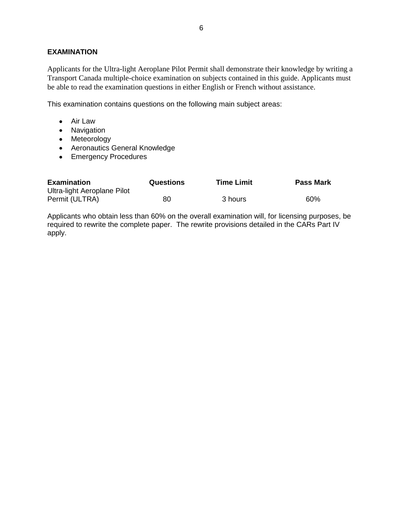#### <span id="page-6-0"></span>**EXAMINATION**

Applicants for the Ultra-light Aeroplane Pilot Permit shall demonstrate their knowledge by writing a Transport Canada multiple-choice examination on subjects contained in this guide. Applicants must be able to read the examination questions in either English or French without assistance.

This examination contains questions on the following main subject areas:

- Air Law
- Navigation
- Meteorology
- Aeronautics General Knowledge
- Emergency Procedures

| <b>Examination</b>          | <b>Questions</b> | <b>Time Limit</b> | <b>Pass Mark</b> |
|-----------------------------|------------------|-------------------|------------------|
| Ultra-light Aeroplane Pilot |                  |                   |                  |
| Permit (ULTRA)              | 80               | 3 hours           | 60%              |

Applicants who obtain less than 60% on the overall examination will, for licensing purposes, be required to rewrite the complete paper. The rewrite provisions detailed in the CARs Part IV apply.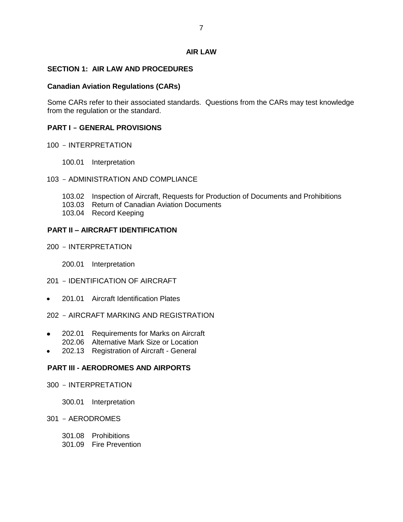#### **AIR LAW**

#### <span id="page-7-1"></span><span id="page-7-0"></span>**SECTION 1: AIR LAW AND PROCEDURES**

#### **Canadian Aviation Regulations (CARs)**

Some CARs refer to their associated standards. Questions from the CARs may test knowledge from the regulation or the standard.

#### **PART I - GENERAL PROVISIONS**

- 100 INTERPRETATION
	- 100.01 Interpretation

#### 103 - ADMINISTRATION AND COMPLIANCE

- 103.02 Inspection of Aircraft, Requests for Production of Documents and Prohibitions
- 103.03 Return of Canadian Aviation Documents
- 103.04 Record Keeping

#### **PART II – AIRCRAFT IDENTIFICATION**

- 200 INTERPRETATION
	- 200.01 Interpretation

#### 201 - IDENTIFICATION OF AIRCRAFT

- 201.01 Aircraft Identification Plates
- 202 AIRCRAFT MARKING AND REGISTRATION
- 202.01 Requirements for Marks on Aircraft 202.06 Alternative Mark Size or Location
- 202.13 Registration of Aircraft General

#### **PART III - AERODROMES AND AIRPORTS**

- 300 INTERPRETATION
	- 300.01 Interpretation

#### 301 - AERODROMES

- 301.08 Prohibitions
- 301.09 Fire Prevention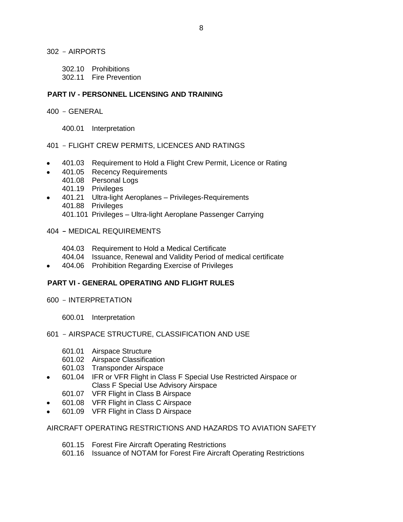302 - AIRPORTS

- 302.10 Prohibitions
- 302.11 Fire Prevention

#### **PART IV - PERSONNEL LICENSING AND TRAINING**

- 400 GENERAL
	- 400.01 Interpretation

#### 401 - FLIGHT CREW PERMITS, LICENCES AND RATINGS

- 401.03 Requirement to Hold a Flight Crew Permit, Licence or Rating
- 401.05 Recency Requirements
- 401.08 Personal Logs
	- 401.19 Privileges
- 401.21 Ultra-light Aeroplanes Privileges-Requirements  $\bullet$ 401.88 Privileges
	- 401.101 Privileges Ultra-light Aeroplane Passenger Carrying

#### 404 **-** MEDICAL REQUIREMENTS

- 404.03 Requirement to Hold a Medical Certificate
- 404.04 Issuance, Renewal and Validity Period of medical certificate
- 404.06 Prohibition Regarding Exercise of Privileges

#### **PART VI - GENERAL OPERATING AND FLIGHT RULES**

- 600 INTERPRETATION
	- 600.01 Interpretation

#### 601 - AIRSPACE STRUCTURE, CLASSIFICATION AND USE

- 601.01 Airspace Structure
- 601.02 Airspace Classification
- 601.03 Transponder Airspace
- 601.04 IFR or VFR Flight in Class F Special Use Restricted Airspace or  $\bullet$ Class F Special Use Advisory Airspace
	- 601.07 VFR Flight in Class B Airspace
- 601.08 VFR Flight in Class C Airspace
- 601.09 VFR Flight in Class D Airspace

## AIRCRAFT OPERATING RESTRICTIONS AND HAZARDS TO AVIATION SAFETY

- 601.15 Forest Fire Aircraft Operating Restrictions
- 601.16 Issuance of NOTAM for Forest Fire Aircraft Operating Restrictions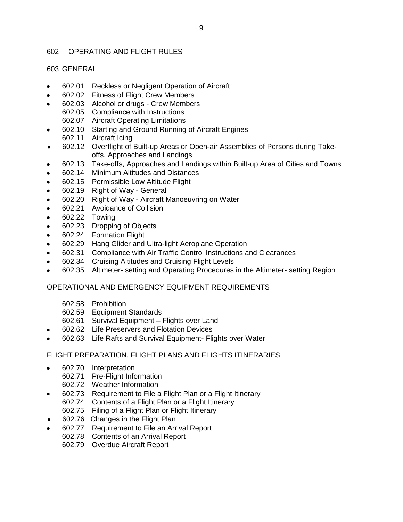### 602 - OPERATING AND FLIGHT RULES

#### 603 GENERAL

- 602.01 Reckless or Negligent Operation of Aircraft
- 602.02 Fitness of Flight Crew Members  $\bullet$
- 602.03 Alcohol or drugs Crew Members
- 602.05 Compliance with Instructions 602.07 Aircraft Operating Limitations
- 602.10 Starting and Ground Running of Aircraft Engines  $\bullet$
- 602.11 Aircraft Icing
- 602.12 Overflight of Built-up Areas or Open-air Assemblies of Persons during Take- $\bullet$ offs, Approaches and Landings
- 602.13 Take-offs, Approaches and Landings within Built-up Area of Cities and Towns  $\bullet$
- 602.14 Minimum Altitudes and Distances
- 602.15 Permissible Low Altitude Flight
- 602.19 Right of Way General
- 602.20 Right of Way Aircraft Manoeuvring on Water  $\bullet$
- 602.21 Avoidance of Collision
- 602.22 Towing
- 602.23 Dropping of Objects
- 602.24 Formation Flight
- 602.29 Hang Glider and Ultra-light Aeroplane Operation
- 602.31 Compliance with Air Traffic Control Instructions and Clearances
- 602.34 Cruising Altitudes and Cruising Flight Levels
- 602.35 Altimeter- setting and Operating Procedures in the Altimeter- setting Region

#### OPERATIONAL AND EMERGENCY EQUIPMENT REQUIREMENTS

- 602.58 Prohibition
- 602.59 Equipment Standards
- 602.61 Survival Equipment Flights over Land
- 602.62 Life Preservers and Flotation Devices
- 602.63 Life Rafts and Survival Equipment- Flights over Water

#### FLIGHT PREPARATION, FLIGHT PLANS AND FLIGHTS ITINERARIES

- 602.70 Interpretation
	- 602.71 Pre-Flight Information
	- 602.72 Weather Information
- 602.73 Requirement to File a Flight Plan or a Flight Itinerary  $\bullet$ 
	- 602.74 Contents of a Flight Plan or a Flight Itinerary
	- 602.75 Filing of a Flight Plan or Flight Itinerary
- 602.76 Changes in the Flight Plan
- 602.77 Requirement to File an Arrival Report
	- 602.78 Contents of an Arrival Report
	- 602.79 Overdue Aircraft Report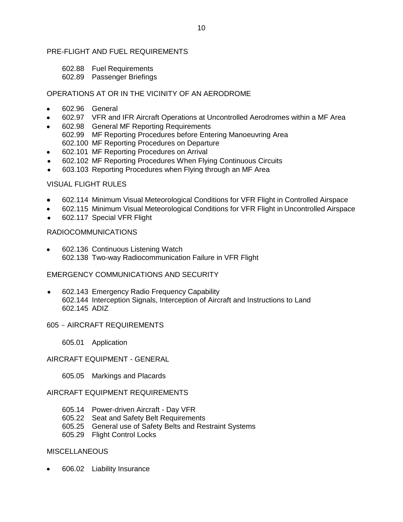#### PRE-FLIGHT AND FUEL REQUIREMENTS

- 602.88 Fuel Requirements
- 602.89 Passenger Briefings

#### OPERATIONS AT OR IN THE VICINITY OF AN AERODROME

- 602.96 General
- 602.97 VFR and IFR Aircraft Operations at Uncontrolled Aerodromes within a MF Area
- 602.98 General MF Reporting Requirements
- 602.99 MF Reporting Procedures before Entering Manoeuvring Area 602.100 MF Reporting Procedures on Departure
- 602.101 MF Reporting Procedures on Arrival
- 602.102 MF Reporting Procedures When Flying Continuous Circuits  $\bullet$
- 603.103 Reporting Procedures when Flying through an MF Area

#### VISUAL FLIGHT RULES

- 602.114 Minimum Visual Meteorological Conditions for VFR Flight in Controlled Airspace
- 602.115 Minimum Visual Meteorological Conditions for VFR Flight in Uncontrolled Airspace
- 602.117 Special VFR Flight

## RADIOCOMMUNICATIONS

602.136 Continuous Listening Watch 602.138 Two-way Radiocommunication Failure in VFR Flight

#### EMERGENCY COMMUNICATIONS AND SECURITY

602.143 Emergency Radio Frequency Capability 602.144 Interception Signals, Interception of Aircraft and Instructions to Land 602.145 ADIZ

#### 605 - AIRCRAFT REQUIREMENTS

605.01 Application

#### AIRCRAFT EQUIPMENT - GENERAL

605.05 Markings and Placards

#### AIRCRAFT EQUIPMENT REQUIREMENTS

- 605.14 Power-driven Aircraft Day VFR
- 605.22 Seat and Safety Belt Requirements
- 605.25 General use of Safety Belts and Restraint Systems
- 605.29 Flight Control Locks

#### MISCELLANEOUS

606.02 Liability Insurance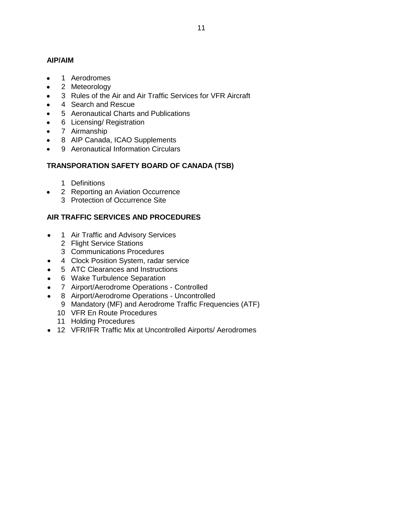## **AIP/AIM**

- Aerodromes
- Meteorology
- Rules of the Air and Air Traffic Services for VFR Aircraft
- Search and Rescue
- Aeronautical Charts and Publications
- Licensing/ Registration
- Airmanship
- AIP Canada, ICAO Supplements
- Aeronautical Information Circulars

## **TRANSPORATION SAFETY BOARD OF CANADA (TSB)**

- Definitions
- Reporting an Aviation Occurrence  $\bullet$ 
	- Protection of Occurrence Site

## **AIR TRAFFIC SERVICES AND PROCEDURES**

- Air Traffic and Advisory Services  $\bullet$ 
	- Flight Service Stations
	- Communications Procedures
- Clock Position System, radar service
- ATC Clearances and Instructions  $\bullet$
- Wake Turbulence Separation
- Airport/Aerodrome Operations Controlled
- Airport/Aerodrome Operations Uncontrolled
	- Mandatory (MF) and Aerodrome Traffic Frequencies (ATF)
	- VFR En Route Procedures
	- Holding Procedures
- VFR/IFR Traffic Mix at Uncontrolled Airports/ Aerodromes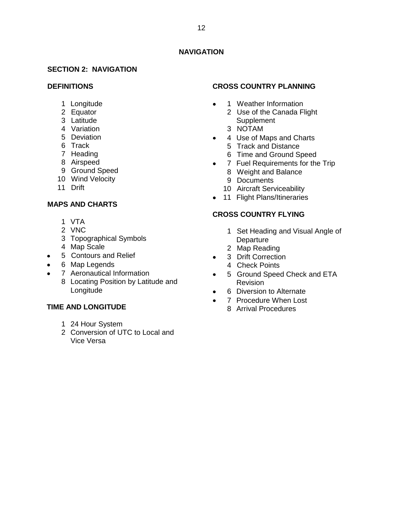## **NAVIGATION**

#### <span id="page-12-1"></span><span id="page-12-0"></span>**SECTION 2: NAVIGATION**

#### **DEFINITIONS**

- Longitude
- Equator
- Latitude
- Variation
- Deviation
- Track
- Heading
- Airspeed
- Ground Speed
- Wind Velocity
- Drift

## **MAPS AND CHARTS**

- VTA
- VNC
- Topographical Symbols
- Map Scale
- Contours and Relief
- Map Legends
- Aeronautical Information
	- Locating Position by Latitude and Longitude

#### **TIME AND LONGITUDE**

- 24 Hour System
- Conversion of UTC to Local and Vice Versa

#### **CROSS COUNTRY PLANNING**

- Weather Information  $\bullet$ 
	- Use of the Canada Flight Supplement
	- NOTAM
- Use of Maps and Charts
	- Track and Distance
	- Time and Ground Speed
- 7 Fuel Requirements for the Trip
	- Weight and Balance
	- Documents
	- Aircraft Serviceability
- 11 Flight Plans/Itineraries

### **CROSS COUNTRY FLYING**

- Set Heading and Visual Angle of **Departure**
- Map Reading
- Drift Correction  $\bullet$ 
	- Check Points
- Ground Speed Check and ETA Revision
- $\bullet$ Diversion to Alternate
- $\bullet$  Procedure When Lost
	- Arrival Procedures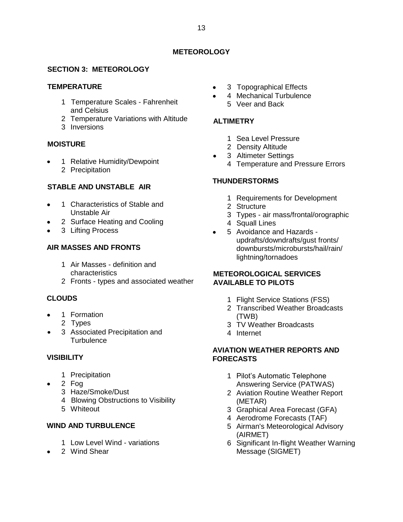### **METEOROLOGY**

## <span id="page-13-1"></span><span id="page-13-0"></span>**SECTION 3: METEOROLOGY**

#### **TEMPERATURE**

- Temperature Scales Fahrenheit and Celsius
- Temperature Variations with Altitude
- Inversions

#### **MOISTURE**

 Relative Humidity/Dewpoint Precipitation

#### **STABLE AND UNSTABLE AIR**

- Characteristics of Stable and Unstable Air
- Surface Heating and Cooling
- Lifting Process

## **AIR MASSES AND FRONTS**

- Air Masses definition and characteristics
- Fronts types and associated weather

## **CLOUDS**

- Formation
	- Types
- Associated Precipitation and **Turbulence**

#### **VISIBILITY**

- Precipitation
- Fog
	- Haze/Smoke/Dust
	- Blowing Obstructions to Visibility
	- Whiteout

## **WIND AND TURBULENCE**

- Low Level Wind variations
- Wind Shear
- Topographical Effects
- Mechanical Turbulence Veer and Back

#### **ALTIMETRY**

- Sea Level Pressure
- Density Altitude
- Altimeter Settings  $\bullet$ 
	- Temperature and Pressure Errors

## **THUNDERSTORMS**

- Requirements for Development
- Structure
- Types air mass/frontal/orographic
- Squall Lines
- Avoidance and Hazards updrafts/downdrafts/gust fronts/ downbursts/microbursts/hail/rain/ lightning/tornadoes

#### **METEOROLOGICAL SERVICES AVAILABLE TO PILOTS**

- Flight Service Stations (FSS)
- Transcribed Weather Broadcasts (TWB)
- TV Weather Broadcasts
- Internet

#### **AVIATION WEATHER REPORTS AND FORECASTS**

- Pilot's Automatic Telephone Answering Service (PATWAS)
- Aviation Routine Weather Report (METAR)
- Graphical Area Forecast (GFA)
- Aerodrome Forecasts (TAF)
- Airman's Meteorological Advisory (AIRMET)
- Significant In-flight Weather Warning Message (SIGMET)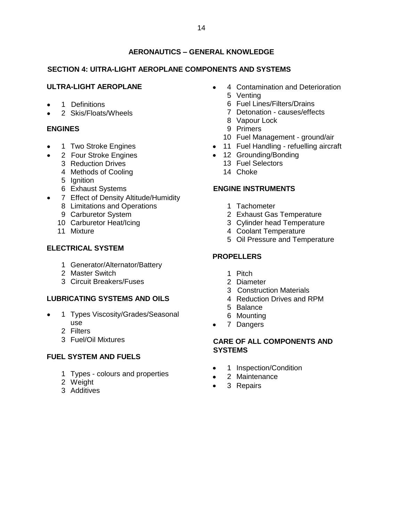## **AERONAUTICS – GENERAL KNOWLEDGE**

## <span id="page-14-1"></span><span id="page-14-0"></span>**SECTION 4: UlTRA-LIGHT AEROPLANE COMPONENTS AND SYSTEMS**

## **ULTRA-LIGHT AEROPLANE**

- Definitions
- Skis/Floats/Wheels

## **ENGINES**

- Two Stroke Engines
- Four Stroke Engines
	- Reduction Drives
	- Methods of Cooling
	- Ignition
	- Exhaust Systems
- Effect of Density Altitude/Humidity
	- Limitations and Operations
	- Carburetor System
	- Carburetor Heat/Icing
	- Mixture

## **ELECTRICAL SYSTEM**

- Generator/Alternator/Battery
- Master Switch
- Circuit Breakers/Fuses

#### **LUBRICATING SYSTEMS AND OILS**

- Types Viscosity/Grades/Seasonal use
	- Filters
	- Fuel/Oil Mixtures

#### **FUEL SYSTEM AND FUELS**

- Types colours and properties
- Weight
- Additives
- Contamination and Deterioration Venting
	- Fuel Lines/Filters/Drains
	- Detonation causes/effects
	- Vapour Lock
	- Primers
	- Fuel Management ground/air
- 11 Fuel Handling refuelling aircraft
- 12 Grounding/Bonding
	- Fuel Selectors
	- Choke

## **ENGINE INSTRUMENTS**

- Tachometer
- Exhaust Gas Temperature
- Cylinder head Temperature
- Coolant Temperature
- Oil Pressure and Temperature

## **PROPELLERS**

- Pitch
- Diameter
- 3 Construction Materials
- Reduction Drives and RPM
- Balance
- Mounting
- 7 Dangers

#### **CARE OF ALL COMPONENTS AND SYSTEMS**

- Inspection/Condition
- 2 Maintenance
- Repairs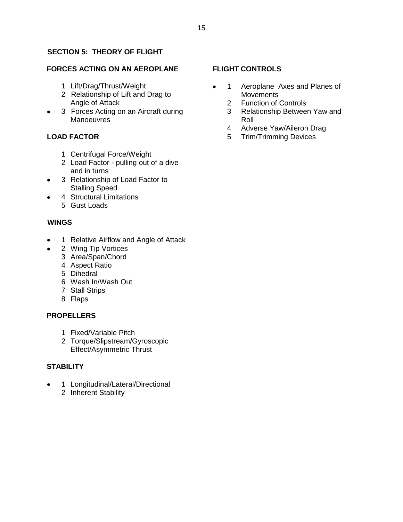## <span id="page-15-0"></span>**SECTION 5: THEORY OF FLIGHT**

#### **FORCES ACTING ON AN AEROPLANE**

- Lift/Drag/Thrust/Weight
- Relationship of Lift and Drag to Angle of Attack
- Forces Acting on an Aircraft during **Manoeuvres**

## **LOAD FACTOR**

- Centrifugal Force/Weight
- Load Factor pulling out of a dive and in turns
- Relationship of Load Factor to Stalling Speed
- Structural Limitations Gust Loads

#### **WINGS**

- Relative Airflow and Angle of Attack
	- Wing Tip Vortices
	- Area/Span/Chord
	- Aspect Ratio
	- Dihedral
	- Wash In/Wash Out
	- Stall Strips
	- Flaps

#### **PROPELLERS**

- Fixed/Variable Pitch
- Torque/Slipstream/Gyroscopic Effect/Asymmetric Thrust

#### **STABILITY**

 Longitudinal/Lateral/Directional Inherent Stability

#### **FLIGHT CONTROLS**

- Aeroplane Axes and Planes of  $\bullet$ **Movements** 
	- Function of Controls
	- Relationship Between Yaw and Roll
	- Adverse Yaw/Aileron Drag
	- Trim/Trimming Devices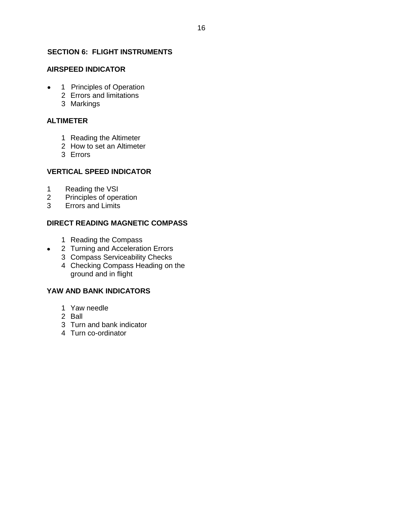## <span id="page-16-0"></span>**SECTION 6: FLIGHT INSTRUMENTS**

## **AIRSPEED INDICATOR**

- 1 Principles of Operation
	- Errors and limitations
	- Markings

#### **ALTIMETER**

- Reading the Altimeter
- How to set an Altimeter
- Errors

## **VERTICAL SPEED INDICATOR**

- Reading the VSI
- Principles of operation
- Errors and Limits

## **DIRECT READING MAGNETIC COMPASS**

- Reading the Compass
- Turning and Acceleration Errors
- Compass Serviceability Checks
- Checking Compass Heading on the ground and in flight

## **YAW AND BANK INDICATORS**

- Yaw needle
- Ball

 $\bullet$ 

- Turn and bank indicator
- Turn co-ordinator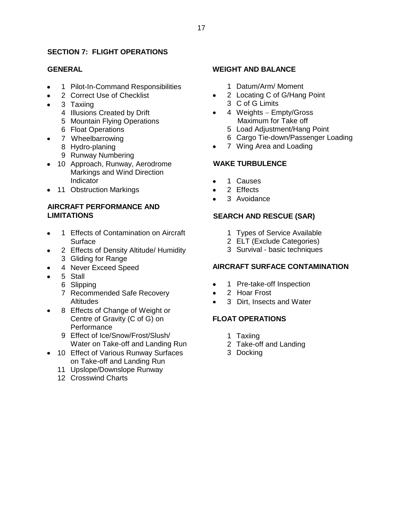## <span id="page-17-0"></span>**SECTION 7: FLIGHT OPERATIONS**

#### **GENERAL**

- Pilot-In-Command Responsibilities
- Correct Use of Checklist
- Taxiing
	- Illusions Created by Drift
	- Mountain Flying Operations
	- Float Operations
	- Wheelbarrowing
		- Hydro-planing
		- Runway Numbering
- 10 Approach, Runway, Aerodrome Markings and Wind Direction **Indicator**
- 11 Obstruction Markings

## **AIRCRAFT PERFORMANCE AND LIMITATIONS**

- Effects of Contamination on Aircraft Surface
- Effects of Density Altitude/ Humidity Gliding for Range
- Never Exceed Speed
- Stall
	- Slipping
	- Recommended Safe Recovery **Altitudes**
- Effects of Change of Weight or Centre of Gravity (C of G) on **Performance** 
	- Effect of Ice/Snow/Frost/Slush/ Water on Take-off and Landing Run
- 10 Effect of Various Runway Surfaces on Take-off and Landing Run
	- Upslope/Downslope Runway
	- Crosswind Charts

#### **WEIGHT AND BALANCE**

- Datum/Arm/ Moment
- Locating C of G/Hang Point C of G Limits
- 4 Weights Empty/Gross Maximum for Take off
	- Load Adjustment/Hang Point
	- Cargo Tie-down/Passenger Loading
- Wing Area and Loading

#### **WAKE TURBULENCE**

- Causes
- Effects
- Avoidance

## **SEARCH AND RESCUE (SAR)**

- Types of Service Available
- ELT (Exclude Categories)
- Survival basic techniques

#### **AIRCRAFT SURFACE CONTAMINATION**

- Pre-take-off Inspection  $\bullet$
- Hoar Frost
- Dirt, Insects and Water  $\bullet$

#### **FLOAT OPERATIONS**

- Taxiing
- Take-off and Landing
- Docking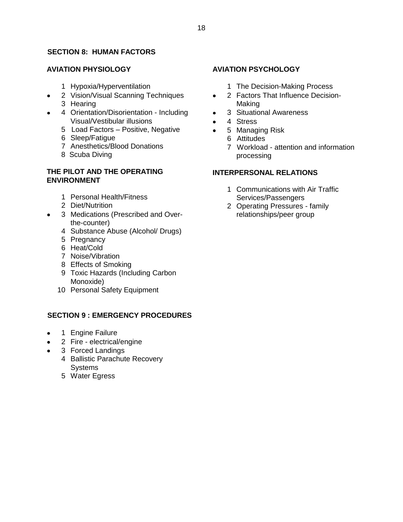## <span id="page-18-0"></span>**SECTION 8: HUMAN FACTORS**

## **AVIATION PHYSIOLOGY**

- Hypoxia/Hyperventilation
- Vision/Visual Scanning Techniques
- Hearing
- Orientation/Disorientation Including Visual/Vestibular illusions
	- 5 Load Factors Positive, Negative
	- Sleep/Fatigue
	- Anesthetics/Blood Donations
	- 8 Scuba Diving

## **THE PILOT AND THE OPERATING ENVIRONMENT**

- Personal Health/Fitness
- Diet/Nutrition
- Medications (Prescribed and Overthe-counter)
	- Substance Abuse (Alcohol/ Drugs)
	- Pregnancy
	- Heat/Cold
	- Noise/Vibration
	- Effects of Smoking
	- Toxic Hazards (Including Carbon Monoxide)
	- Personal Safety Equipment

## <span id="page-18-1"></span>**SECTION 9 : EMERGENCY PROCEDURES**

- Engine Failure
- Fire electrical/engine
- Forced Landings
	- Ballistic Parachute Recovery **Systems**
	- Water Egress

## **AVIATION PSYCHOLOGY**

- The Decision-Making Process
- Factors That Influence Decision- $\bullet$ Making
- Situational Awareness
- 4 Stress
- Managing Risk
	- Attitudes
	- Workload attention and information processing

## **INTERPERSONAL RELATIONS**

- Communications with Air Traffic Services/Passengers
- Operating Pressures family relationships/peer group